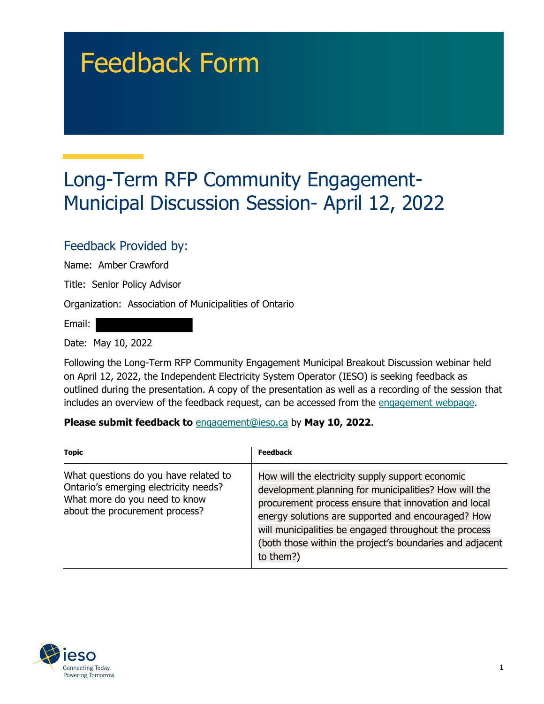## Feedback Form

## Long-Term RFP Community Engagement-Municipal Discussion Session- April 12, 2022

## Feedback Provided by:

Name: Amber Crawford

Title: Senior Policy Advisor

Organization: Association of Municipalities of Ontario

Email:

Date: May 10, 2022

Following the Long-Term RFP Community Engagement Municipal Breakout Discussion webinar held on April 12, 2022, the Independent Electricity System Operator (IESO) is seeking feedback as outlined during the presentation. A copy of the presentation as well as a recording of the session that includes an overview of the feedback request, can be accessed from the [engagement webpage.](https://www.ieso.ca/en/Sector-Participants/Engagement-Initiatives/Engagements/Long-Term-RFP-Community-Engagement)

**Please submit feedback to** engagement@ieso.ca by **May 10, 2022**.

| <b>Topic</b>                                                                                                                                      | <b>Feedback</b>                                                                                                                                                                                                                                                                                                                                           |
|---------------------------------------------------------------------------------------------------------------------------------------------------|-----------------------------------------------------------------------------------------------------------------------------------------------------------------------------------------------------------------------------------------------------------------------------------------------------------------------------------------------------------|
| What questions do you have related to<br>Ontario's emerging electricity needs?<br>What more do you need to know<br>about the procurement process? | How will the electricity supply support economic<br>development planning for municipalities? How will the<br>procurement process ensure that innovation and local<br>energy solutions are supported and encouraged? How<br>will municipalities be engaged throughout the process<br>(both those within the project's boundaries and adjacent<br>to them?) |